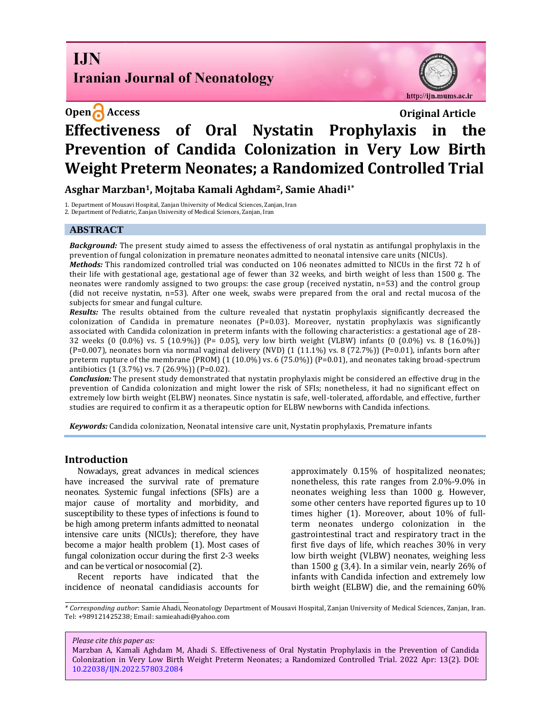# **I.IN Iranian Journal of Neonatology**



# **Open Access Original Article Effectiveness of Oral Nystatin Prophylaxis in the Prevention of Candida Colonization in Very Low Birth Weight Preterm Neonates; a Randomized Controlled Trial**

**Asghar Marzban1, Mojtaba Kamali Aghdam2, Samie Ahadi1\***

1. Department of Mousavi Hospital, Zanjan University of Medical Sciences, Zanjan, Iran

2. Department of Pediatric, Zanjan University of Medical Sciences, Zanjan, Iran

#### **ABSTRACT**

*Background:* The present study aimed to assess the effectiveness of oral nystatin as antifungal prophylaxis in the prevention of fungal colonization in premature neonates admitted to neonatal intensive care units (NICUs).

*Methods:* This randomized controlled trial was conducted on 106 neonates admitted to NICUs in the first 72 h of their life with gestational age, gestational age of fewer than 32 weeks, and birth weight of less than 1500 g. The neonates were randomly assigned to two groups: the case group (received nystatin, n=53) and the control group (did not receive nystatin, n=53). After one week, swabs were prepared from the oral and rectal mucosa of the subjects for smear and fungal culture.

*Results:* The results obtained from the culture revealed that nystatin prophylaxis significantly decreased the colonization of Candida in premature neonates  $(P=0.03)$ . Moreover, nystatin prophylaxis was significantly associated with Candida colonization in preterm infants with the following characteristics: a gestational age of 28- 32 weeks (0 (0.0%) vs. 5 (10.9%)) (P= 0.05), very low birth weight (VLBW) infants (0 (0.0%) vs. 8 (16.0%)) (P=0.007), neonates born via normal vaginal delivery (NVD)  $(1 (11.1%)$  vs. 8  $(72.7%)$ ) (P=0.01), infants born after preterm rupture of the membrane (PROM) (1 (10.0%) vs. 6 (75.0%)) (P=0.01), and neonates taking broad-spectrum antibiotics (1 (3.7%) vs. 7 (26.9%)) (P=0.02).

*Conclusion:* The present study demonstrated that nystatin prophylaxis might be considered an effective drug in the prevention of Candida colonization and might lower the risk of SFIs; nonetheless, it had no significant effect on extremely low birth weight (ELBW) neonates. Since nystatin is safe, well-tolerated, affordable, and effective, further studies are required to confirm it as a therapeutic option for ELBW newborns with Candida infections.

*Keywords:* Candida colonization, Neonatal intensive care unit, Nystatin prophylaxis, Premature infants

#### **Introduction**

Nowadays, great advances in medical sciences have increased the survival rate of premature neonates. Systemic fungal infections (SFIs) are a major cause of mortality and morbidity, and susceptibility to these types of infections is found to be high among preterm infants admitted to neonatal intensive care units (NICUs); therefore, they have become a major health problem (1). Most cases of fungal colonization occur during the first 2-3 weeks and can be vertical or nosocomial (2).

Recent reports have indicated that the incidence of neonatal candidiasis accounts for approximately 0.15% of hospitalized neonates; nonetheless, this rate ranges from 2.0%-9.0% in neonates weighing less than 1000 g. However, some other centers have reported figures up to 10 times higher (1). Moreover, about 10% of fullterm neonates undergo colonization in the gastrointestinal tract and respiratory tract in the first five days of life, which reaches 30% in very low birth weight (VLBW) neonates, weighing less than 1500 g (3,4). In a similar vein, nearly 26% of infants with Candida infection and extremely low birth weight (ELBW) die, and the remaining 60%

*Please cite this paper as:*

Marzban A, Kamali Aghdam M, Ahadi S. Effectiveness of Oral Nystatin Prophylaxis in the Prevention of Candida Colonization in Very Low Birth Weight Preterm Neonates; a Randomized Controlled Trial. 2022 Apr: 13(2). DOI: [10.22038/IJN.2022.57803.2084](https://ijn.mums.ac.ir/)

*<sup>\*</sup> Corresponding author*: Samie Ahadi, Neonatology Department of Mousavi Hospital, Zanjan University of Medical Sciences, Zanjan, Iran. Tel: +989121425238; Email[: samieahadi@yahoo.com](mailto:samieahadi@yahoo.com)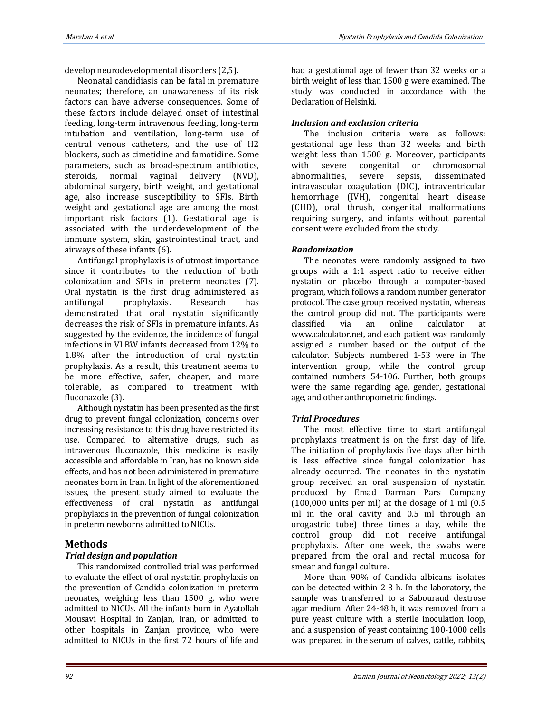develop neurodevelopmental disorders (2,5).

Neonatal candidiasis can be fatal in premature neonates; therefore, an unawareness of its risk factors can have adverse consequences. Some of these factors include delayed onset of intestinal feeding, long-term intravenous feeding, long-term intubation and ventilation, long-term use of central venous catheters, and the use of H2 blockers, such as cimetidine and famotidine. Some parameters, such as broad-spectrum antibiotics, steroids, normal vaginal delivery (NVD), abdominal surgery, birth weight, and gestational age, also increase susceptibility to SFIs. Birth weight and gestational age are among the most important risk factors (1). Gestational age is associated with the underdevelopment of the immune system, skin, gastrointestinal tract, and airways of these infants (6).

Antifungal prophylaxis is of utmost importance since it contributes to the reduction of both colonization and SFIs in preterm neonates (7). Oral nystatin is the first drug administered as antifungal prophylaxis. Research has demonstrated that oral nystatin significantly decreases the risk of SFIs in premature infants. As suggested by the evidence, the incidence of fungal infections in VLBW infants decreased from 12% to 1.8% after the introduction of oral nystatin prophylaxis. As a result, this treatment seems to be more effective, safer, cheaper, and more tolerable, as compared to treatment with fluconazole (3).

Although nystatin has been presented as the first drug to prevent fungal colonization, concerns over increasing resistance to this drug have restricted its use. Compared to alternative drugs, such as intravenous fluconazole, this medicine is easily accessible and affordable in Iran, has no known side effects, and has not been administered in premature neonates born in Iran. In light of the aforementioned issues, the present study aimed to evaluate the effectiveness of oral nystatin as antifungal prophylaxis in the prevention of fungal colonization in preterm newborns admitted to NICUs.

## **Methods**

## *Trial design and population*

This randomized controlled trial was performed to evaluate the effect of oral nystatin prophylaxis on the prevention of Candida colonization in preterm neonates, weighing less than 1500 g, who were admitted to NICUs. All the infants born in Ayatollah Mousavi Hospital in Zanjan, Iran, or admitted to other hospitals in Zanjan province, who were admitted to NICUs in the first 72 hours of life and

had a gestational age of fewer than 32 weeks or a birth weight of less than 1500 g were examined. The study was conducted in accordance with the Declaration of Helsinki.

## *Inclusion and exclusion criteria*

The inclusion criteria were as follows: gestational age less than 32 weeks and birth weight less than 1500 g. Moreover, participants with severe congenital or chromosomal abnormalities, severe sepsis, disseminated intravascular coagulation (DIC), intraventricular hemorrhage (IVH), congenital heart disease (CHD), oral thrush, congenital malformations requiring surgery, and infants without parental consent were excluded from the study.

## *Randomization*

The neonates were randomly assigned to two groups with a 1:1 aspect ratio to receive either nystatin or placebo through a computer-based program, which follows a random number generator protocol. The case group received nystatin, whereas the control group did not. The participants were classified via an online calculator at www.calculator.net, and each patient was randomly assigned a number based on the output of the calculator. Subjects numbered 1-53 were in The intervention group, while the control group contained numbers 54-106. Further, both groups were the same regarding age, gender, gestational age, and other anthropometric findings.

## *Trial Procedures*

The most effective time to start antifungal prophylaxis treatment is on the first day of life. The initiation of prophylaxis five days after birth is less effective since fungal colonization has already occurred. The neonates in the nystatin group received an oral suspension of nystatin produced by Emad Darman Pars Company  $(100,000 \text{ units per ml})$  at the dosage of 1 ml  $(0.5)$ ml in the oral cavity and 0.5 ml through an orogastric tube) three times a day, while the control group did not receive antifungal prophylaxis. After one week, the swabs were prepared from the oral and rectal mucosa for smear and fungal culture.

More than 90% of Candida albicans isolates can be detected within 2-3 h. In the laboratory, the sample was transferred to a Sabouraud dextrose agar medium. After 24-48 h, it was removed from a pure yeast culture with a sterile inoculation loop, and a suspension of yeast containing 100-1000 cells was prepared in the serum of calves, cattle, rabbits,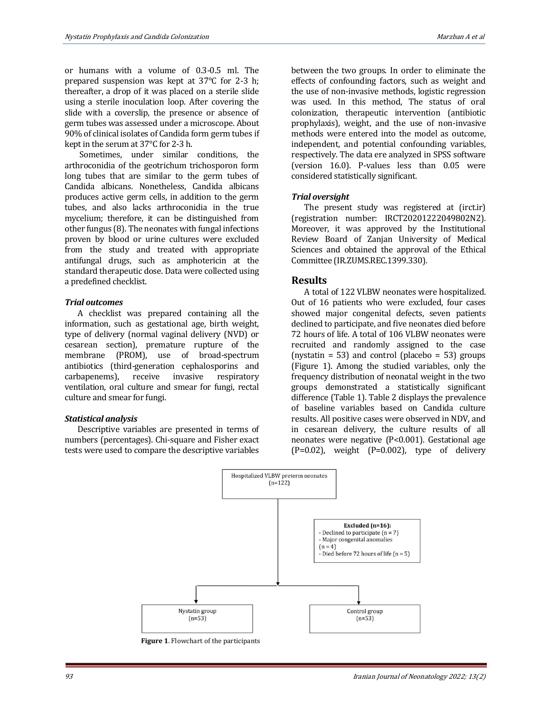or humans with a volume of 0.3-0.5 ml. The prepared suspension was kept at 37°C for 2-3 h; thereafter, a drop of it was placed on a sterile slide using a sterile inoculation loop. After covering the slide with a coverslip, the presence or absence of germ tubes was assessed under a microscope. About 90% of clinical isolates of Candida form germ tubes if kept in the serum at 37°C for 2-3 h.

Sometimes, under similar conditions, the arthroconidia of the geotrichum trichosporon form long tubes that are similar to the germ tubes of Candida albicans. Nonetheless, Candida albicans produces active germ cells, in addition to the germ tubes, and also lacks arthroconidia in the true mycelium; therefore, it can be distinguished from other fungus (8). The neonates with fungal infections proven by blood or urine cultures were excluded from the study and treated with appropriate antifungal drugs, such as amphotericin at the standard therapeutic dose. Data were collected using a predefined checklist.

#### *Trial outcomes*

A checklist was prepared containing all the information, such as gestational age, birth weight, type of delivery (normal vaginal delivery (NVD) or cesarean section), premature rupture of the membrane (PROM), use of broad-spectrum antibiotics (third-generation cephalosporins and carbapenems), receive invasive respiratory ventilation, oral culture and smear for fungi, rectal culture and smear for fungi.

#### *Statistical analysis*

Descriptive variables are presented in terms of numbers (percentages). Chi-square and Fisher exact tests were used to compare the descriptive variables

between the two groups. In order to eliminate the effects of confounding factors, such as weight and the use of non-invasive methods, logistic regression was used. In this method, The status of oral colonization, therapeutic intervention (antibiotic prophylaxis), weight, and the use of non-invasive methods were entered into the model as outcome, independent, and potential confounding variables, respectively. The data ere analyzed in SPSS software (version 16.0). P-values less than 0.05 were considered statistically significant.

#### *Trial oversight*

The present study was registered at (irct.ir) (registration number: IRCT20201222049802N2). Moreover, it was approved by the Institutional Review Board of Zanjan University of Medical Sciences and obtained the approval of the Ethical Committee (IR.ZUMS.REC.1399.330).

## **Results**

A total of 122 VLBW neonates were hospitalized. Out of 16 patients who were excluded, four cases showed major congenital defects, seven patients declined to participate, and five neonates died before 72 hours of life. A total of 106 VLBW neonates were recruited and randomly assigned to the case (nystatin = 53) and control (placebo = 53) groups (Figure 1). Among the studied variables, only the frequency distribution of neonatal weight in the two groups demonstrated a statistically significant difference (Table 1). Table 2 displays the prevalence of baseline variables based on Candida culture results. All positive cases were observed in NDV, and in cesarean delivery, the culture results of all neonates were negative (P<0.001). Gestational age  $(P=0.02)$ , weight  $(P=0.002)$ , type of delivery



 **Figure 1**. Flowchart of the participants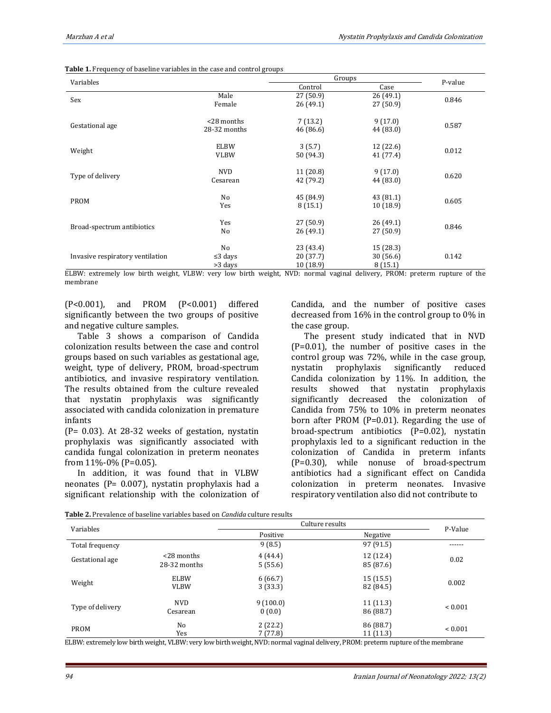| Variables                        |               | Groups    |           |         |  |
|----------------------------------|---------------|-----------|-----------|---------|--|
|                                  |               | Control   | Case      | P-value |  |
|                                  | Male          | 27 (50.9) | 26(49.1)  |         |  |
| Sex                              | Female        | 26(49.1)  | 27(50.9)  | 0.846   |  |
|                                  | <28 months    | 7(13.2)   | 9(17.0)   | 0.587   |  |
| Gestational age                  | 28-32 months  | 46 (86.6) | 44 (83.0) |         |  |
|                                  | <b>ELBW</b>   | 3(5.7)    | 12(22.6)  |         |  |
| Weight                           | <b>VLBW</b>   | 50 (94.3) | 41 (77.4) | 0.012   |  |
|                                  | NVD           | 11(20.8)  | 9(17.0)   |         |  |
| Type of delivery                 | Cesarean      | 42 (79.2) | 44 (83.0) | 0.620   |  |
|                                  | No            | 45 (84.9) | 43(81.1)  |         |  |
| <b>PROM</b>                      | Yes           | 8(15.1)   | 10(18.9)  | 0.605   |  |
|                                  | Yes           | 27 (50.9) | 26(49.1)  |         |  |
| Broad-spectrum antibiotics       | No            | 26(49.1)  | 27 (50.9) | 0.846   |  |
|                                  | No            | 23 (43.4) | 15 (28.3) |         |  |
| Invasive respiratory ventilation | $\leq$ 3 days | 20(37.7)  | 30(56.6)  | 0.142   |  |
|                                  | >3 days       | 10 (18.9) | 8(15.1)   |         |  |

ELBW: extremely low birth weight, VLBW: very low birth weight, NVD: normal vaginal delivery, PROM: preterm rupture of the membrane

(P<0.001), and PROM (P<0.001) differed significantly between the two groups of positive and negative culture samples.

Table 3 shows a comparison of Candida colonization results between the case and control groups based on such variables as gestational age, weight, type of delivery, PROM, broad-spectrum antibiotics, and invasive respiratory ventilation. The results obtained from the culture revealed that nystatin prophylaxis was significantly associated with candida colonization in premature infants

(P= 0.03). At 28-32 weeks of gestation, nystatin prophylaxis was significantly associated with candida fungal colonization in preterm neonates from 11%-0% (P=0.05).

In addition, it was found that in VLBW neonates (P= 0.007), nystatin prophylaxis had a significant relationship with the colonization of Candida, and the number of positive cases decreased from 16% in the control group to 0% in the case group.

The present study indicated that in NVD (P=0.01), the number of positive cases in the control group was 72%, while in the case group, nystatin prophylaxis significantly reduced Candida colonization by 11%. In addition, the results showed that nystatin prophylaxis significantly decreased the colonization of Candida from 75% to 10% in preterm neonates born after PROM (P=0.01). Regarding the use of broad-spectrum antibiotics (P=0.02), nystatin prophylaxis led to a significant reduction in the colonization of Candida in preterm infants (P=0.30), while nonuse of broad-spectrum antibiotics had a significant effect on Candida colonization in preterm neonates. Invasive respiratory ventilation also did not contribute to

**Table 2.** Prevalence of baseline variables based on *Candida* culture results

| Variables        |               | Culture results |           |                |  |
|------------------|---------------|-----------------|-----------|----------------|--|
|                  |               | Positive        | Negative  | P-Value        |  |
| Total frequency  |               | 9(8.5)          | 97 (91.5) | ------         |  |
| Gestational age  | $<$ 28 months | 4(44.4)         | 12 (12.4) | 0.02           |  |
|                  | 28-32 months  | 5(55.6)         | 85 (87.6) |                |  |
| Weight           | <b>ELBW</b>   | 6(66.7)         | 15(15.5)  | 0.002          |  |
|                  | <b>VLBW</b>   | 3(33.3)         | 82 (84.5) |                |  |
| Type of delivery | <b>NVD</b>    | 9(100.0)        | 11(11.3)  |                |  |
|                  | Cesarean      | 0(0.0)          | 86 (88.7) | ${}_{0.001}$   |  |
| PROM             | No            | 2(22.2)         | 86 (88.7) | ${}_{< 0.001}$ |  |
|                  | Yes           | 7(77.8)         | 11(11.3)  |                |  |

ELBW: extremely low birth weight, VLBW: very low birth weight, NVD: normal vaginal delivery, PROM: preterm rupture of the membrane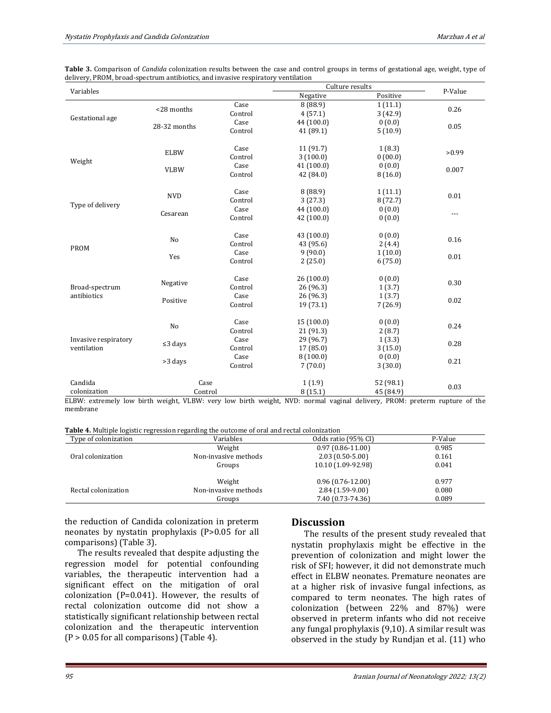| Table 3. Comparison of Candida colonization results between the case and control groups in terms of gestational age, weight, type of |  |
|--------------------------------------------------------------------------------------------------------------------------------------|--|
| delivery, PROM, broad-spectrum antibiotics, and invasive respiratory ventilation                                                     |  |

| Variables                                                                                                |                |         |            | Culture results<br>P-Value |                            |
|----------------------------------------------------------------------------------------------------------|----------------|---------|------------|----------------------------|----------------------------|
|                                                                                                          |                |         | Negative   | Positive                   |                            |
|                                                                                                          | <28 months     | Case    | 8(88.9)    | 1(11.1)                    | 0.26                       |
| Gestational age                                                                                          |                | Control | 4(57.1)    | 3(42.9)                    |                            |
|                                                                                                          | 28-32 months   | Case    | 44 (100.0) | 0(0.0)                     | 0.05                       |
|                                                                                                          |                | Control | 41 (89.1)  | 5(10.9)                    |                            |
|                                                                                                          |                |         |            |                            |                            |
|                                                                                                          | <b>ELBW</b>    | Case    | 11 (91.7)  | 1(8.3)                     | >0.99                      |
| Weight                                                                                                   |                | Control | 3(100.0)   | 0(00.0)                    |                            |
|                                                                                                          | <b>VLBW</b>    | Case    | 41 (100.0) | 0(0.0)                     | 0.007                      |
|                                                                                                          |                | Control | 42 (84.0)  | 8(16.0)                    |                            |
|                                                                                                          |                |         |            |                            |                            |
|                                                                                                          | <b>NVD</b>     | Case    | 8(88.9)    | 1(11.1)                    | 0.01                       |
| Type of delivery                                                                                         |                | Control | 3(27.3)    | 8(72.7)                    |                            |
|                                                                                                          | Cesarean       | Case    | 44 (100.0) | 0(0.0)                     |                            |
|                                                                                                          |                | Control | 42 (100.0) | 0(0.0)                     | ---                        |
|                                                                                                          |                |         |            |                            |                            |
|                                                                                                          | No             | Case    | 43 (100.0) | 0(0.0)                     | 0.16                       |
|                                                                                                          |                | Control | 43 (95.6)  | 2(4.4)                     |                            |
| <b>PROM</b>                                                                                              |                | Case    | 9(90.0)    | 1(10.0)                    | 0.01                       |
|                                                                                                          | Yes            | Control | 2(25.0)    | 6(75.0)                    |                            |
|                                                                                                          |                |         |            |                            |                            |
|                                                                                                          |                | Case    | 26(100.0)  | 0(0.0)                     |                            |
| Broad-spectrum                                                                                           | Negative       | Control | 26 (96.3)  | 1(3.7)                     | 0.30                       |
| antibiotics                                                                                              |                | Case    | 26 (96.3)  | 1(3.7)                     | 0.02                       |
|                                                                                                          | Positive       | Control | 19 (73.1)  | 7(26.9)                    |                            |
|                                                                                                          |                |         |            |                            |                            |
|                                                                                                          | N <sub>o</sub> | Case    | 15(100.0)  | 0(0.0)                     | 0.24                       |
|                                                                                                          |                | Control | 21 (91.3)  | 2(8.7)                     |                            |
| Invasive respiratory<br>ventilation                                                                      | $\leq$ 3 days  | Case    | 29 (96.7)  | 1(3.3)                     |                            |
|                                                                                                          |                | Control | 17 (85.0)  | 3(15.0)                    | 0.28                       |
|                                                                                                          |                | Case    | 8(100.0)   | 0(0.0)                     | 0.21                       |
|                                                                                                          | >3 days        | Control | 7(70.0)    | 3(30.0)                    |                            |
|                                                                                                          |                |         |            |                            |                            |
| Candida                                                                                                  | Case           |         | 1(1.9)     | 52 (98.1)                  | 0.03                       |
| colonization                                                                                             | Control        |         | 8(15.1)    | 45 (84.9)                  |                            |
| ELDW, outnomaly low high woight. W.DW, your low high woight. NWD, normal woinel delivery. DDOM, nuctaure |                |         |            |                            | $m, m+1, m, \alpha$ of the |

ELBW: extremely low birth weight, VLBW: very low birth weight, NVD: normal vaginal delivery, PROM: preterm rupture of the membrane

|  | <b>Table 4.</b> Multiple logistic regression regarding the outcome of oral and rectal colonization |  |
|--|----------------------------------------------------------------------------------------------------|--|

| Type of colonization | Variables            | Odds ratio (95% CI)  | P-Value |
|----------------------|----------------------|----------------------|---------|
|                      | Weight               | $0.97(0.86 - 11.00)$ | 0.985   |
| Oral colonization    | Non-invasive methods | $2.03(0.50-5.00)$    | 0.161   |
|                      | Groups               | 10.10 (1.09-92.98)   | 0.041   |
|                      |                      |                      |         |
|                      | Weight               | $0.96(0.76-12.00)$   | 0.977   |
| Rectal colonization  | Non-invasive methods | $2.84(1.59-9.00)$    | 0.080   |
|                      | Groups               | 7.40 (0.73-74.36)    | 0.089   |

the reduction of Candida colonization in preterm neonates by nystatin prophylaxis (P>0.05 for all comparisons) (Table 3).

The results revealed that despite adjusting the regression model for potential confounding variables, the therapeutic intervention had a significant effect on the mitigation of oral colonization (P=0.041). However, the results of rectal colonization outcome did not show a statistically significant relationship between rectal colonization and the therapeutic intervention  $(P > 0.05$  for all comparisons) (Table 4).

## **Discussion**

The results of the present study revealed that nystatin prophylaxis might be effective in the prevention of colonization and might lower the risk of SFI; however, it did not demonstrate much effect in ELBW neonates. Premature neonates are at a higher risk of invasive fungal infections, as compared to term neonates. The high rates of colonization (between 22% and 87%) were observed in preterm infants who did not receive any fungal prophylaxis (9,10). A similar result was observed in the study by Rundjan et al. (11) who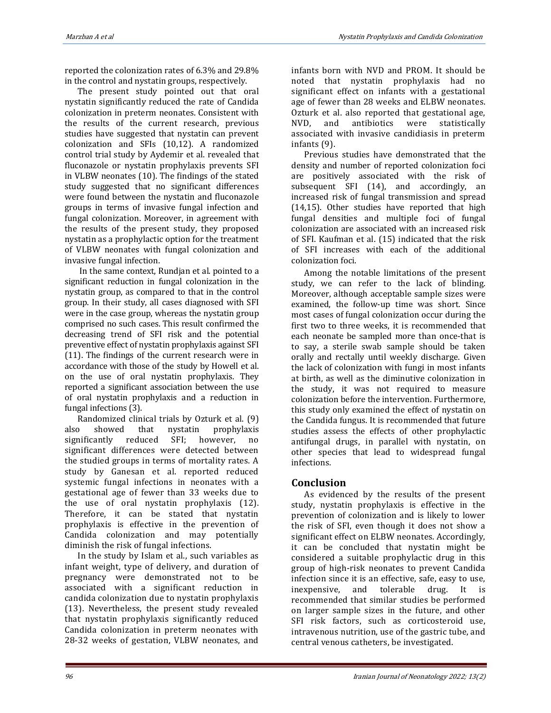reported the colonization rates of 6.3% and 29.8% in the control and nystatin groups, respectively.

The present study pointed out that oral nystatin significantly reduced the rate of Candida colonization in preterm neonates. Consistent with the results of the current research, previous studies have suggested that nystatin can prevent colonization and SFIs (10,12). A randomized control trial study by Aydemir et al. revealed that fluconazole or nystatin prophylaxis prevents SFI in VLBW neonates (10). The findings of the stated study suggested that no significant differences were found between the nystatin and fluconazole groups in terms of invasive fungal infection and fungal colonization. Moreover, in agreement with the results of the present study, they proposed nystatin as a prophylactic option for the treatment of VLBW neonates with fungal colonization and invasive fungal infection.

In the same context, Rundjan et al. pointed to a significant reduction in fungal colonization in the nystatin group, as compared to that in the control group. In their study, all cases diagnosed with SFI were in the case group, whereas the nystatin group comprised no such cases. This result confirmed the decreasing trend of SFI risk and the potential preventive effect of nystatin prophylaxis against SFI (11). The findings of the current research were in accordance with those of the study by Howell et al. on the use of oral nystatin prophylaxis. They reported a significant association between the use of oral nystatin prophylaxis and a reduction in fungal infections (3).

Randomized clinical trials by Ozturk et al. (9) also showed that nystatin prophylaxis significantly reduced SFI; however, no significant differences were detected between the studied groups in terms of mortality rates. A study by Ganesan et al. reported reduced systemic fungal infections in neonates with a gestational age of fewer than 33 weeks due to the use of oral nystatin prophylaxis (12). Therefore, it can be stated that nystatin prophylaxis is effective in the prevention of Candida colonization and may potentially diminish the risk of fungal infections.

In the study by Islam et al., such variables as infant weight, type of delivery, and duration of pregnancy were demonstrated not to be associated with a significant reduction in candida colonization due to nystatin prophylaxis (13). Nevertheless, the present study revealed that nystatin prophylaxis significantly reduced Candida colonization in preterm neonates with 28-32 weeks of gestation, VLBW neonates, and infants born with NVD and PROM. It should be noted that nystatin prophylaxis had no significant effect on infants with a gestational age of fewer than 28 weeks and ELBW neonates. Ozturk et al. also reported that gestational age, NVD, and antibiotics were statistically associated with invasive candidiasis in preterm infants (9).

Previous studies have demonstrated that the density and number of reported colonization foci are positively associated with the risk of subsequent SFI (14), and accordingly, an increased risk of fungal transmission and spread (14,15). Other studies have reported that high fungal densities and multiple foci of fungal colonization are associated with an increased risk of SFI. Kaufman et al. (15) indicated that the risk of SFI increases with each of the additional colonization foci.

Among the notable limitations of the present study, we can refer to the lack of blinding. Moreover, although acceptable sample sizes were examined, the follow-up time was short. Since most cases of fungal colonization occur during the first two to three weeks, it is recommended that each neonate be sampled more than once-that is to say, a sterile swab sample should be taken orally and rectally until weekly discharge. Given the lack of colonization with fungi in most infants at birth, as well as the diminutive colonization in the study, it was not required to measure colonization before the intervention. Furthermore, this study only examined the effect of nystatin on the Candida fungus. It is recommended that future studies assess the effects of other prophylactic antifungal drugs, in parallel with nystatin, on other species that lead to widespread fungal infections.

## **Conclusion**

As evidenced by the results of the present study, nystatin prophylaxis is effective in the prevention of colonization and is likely to lower the risk of SFI, even though it does not show a significant effect on ELBW neonates. Accordingly, it can be concluded that nystatin might be considered a suitable prophylactic drug in this group of high-risk neonates to prevent Candida infection since it is an effective, safe, easy to use, inexpensive, and tolerable drug. It is recommended that similar studies be performed on larger sample sizes in the future, and other SFI risk factors, such as corticosteroid use, intravenous nutrition, use of the gastric tube, and central venous catheters, be investigated.